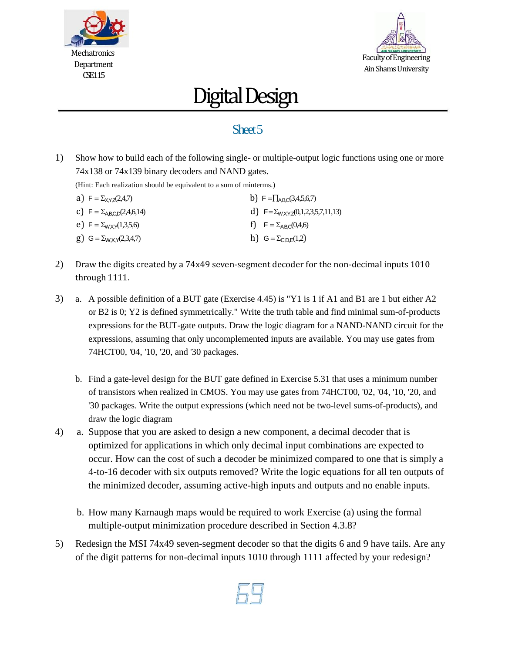



## Digital Design

## Sheet 5

1) Show how to build each of the following single- or multiple-output logic functions using one or more 74x138 or 74x139 binary decoders and NAND gates.

(Hint: Each realization should be equivalent to a sum of minterms.)

| a) $F = \sum_{XYZ} (2, 4, 7)$          | b) $F = \prod_{ABC} (3,4,5,6,7)$                |
|----------------------------------------|-------------------------------------------------|
| c) $F = \sum_{AB,CD}(2,4,6,14)$        | d) $F = \sum_{W \times YZ} (0,1,2,3,5,7,11,13)$ |
| e) F = $\Sigma_{WXX}(1,3,5,6)$         | f) $F = \Sigma_{ABC}(0, 4, 6)$                  |
| g) $G = \sum_{W} \chi \gamma(2,3,4,7)$ | h) $G = \sum_{C,D,E}(1,2)$                      |

- 2) Draw the digits created by a 74x49 seven-segment decoder for the non-decimal inputs 1010 through 1111.
- 3) a. A possible definition of a BUT gate (Exercise 4.45) is "Y1 is 1 if A1 and B1 are 1 but either A2 or B2 is 0; Y2 is defined symmetrically." Write the truth table and find minimal sum-of-products expressions for the BUT-gate outputs. Draw the logic diagram for a NAND-NAND circuit for the expressions, assuming that only uncomplemented inputs are available. You may use gates from 74HCT00, '04, '10, '20, and '30 packages.
	- b. Find a gate-level design for the BUT gate defined in Exercise 5.31 that uses a minimum number of transistors when realized in CMOS. You may use gates from 74HCT00, '02, '04, '10, '20, and '30 packages. Write the output expressions (which need not be two-level sums-of-products), and draw the logic diagram
- 4) a. Suppose that you are asked to design a new component, a decimal decoder that is optimized for applications in which only decimal input combinations are expected to occur. How can the cost of such a decoder be minimized compared to one that is simply a 4-to-16 decoder with six outputs removed? Write the logic equations for all ten outputs of the minimized decoder, assuming active-high inputs and outputs and no enable inputs.
	- b. How many Karnaugh maps would be required to work Exercise (a) using the formal multiple-output minimization procedure described in Section 4.3.8?
- 5) Redesign the MSI 74x49 seven-segment decoder so that the digits 6 and 9 have tails. Are any of the digit patterns for non-decimal inputs 1010 through 1111 affected by your redesign?